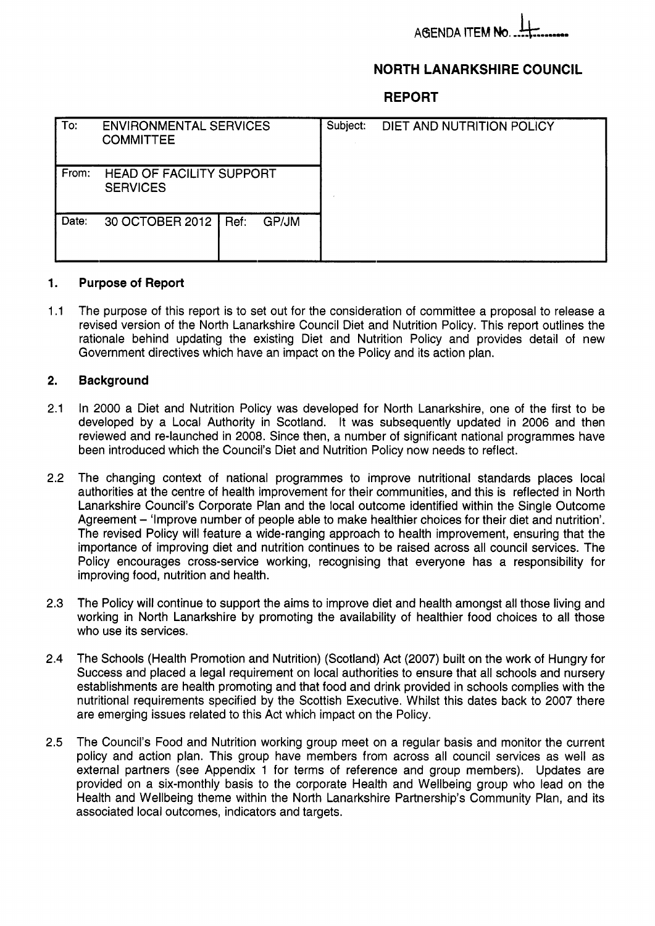# **AGENDA ITEM N**

# **NORTH LANARKSHIRE COUNCIL**

**REPORT** 

| To:   | <b>ENVIRONMENTAL SERVICES</b><br><b>COMMITTEE</b>  |  |       | Subject: | DIET AND NUTRITION POLICY |
|-------|----------------------------------------------------|--|-------|----------|---------------------------|
| From: | <b>HEAD OF FACILITY SUPPORT</b><br><b>SERVICES</b> |  |       |          |                           |
| Date: | 30 OCTOBER 2012   Ref:                             |  | GP/JM |          |                           |

#### **1. Purpose of Report**

1.1 The purpose of this report is to set out for the consideration of committee a proposal to release a revised version of the North Lanarkshire Council Diet and Nutrition Policy. This report outlines the rationale behind updating the existing Diet and Nutrition Policy and provides detail of new Government directives which have an impact on the Policy and its action plan.

### **2. Background**

- 2.1 In 2000 a Diet and Nutrition Policy was developed for North Lanarkshire, one of the first to be developed by a Local Authority in Scotland. It was subsequently updated in 2006 and then reviewed and re-launched in 2008. Since then, a number of significant national programmes have been introduced which the Council's Diet and Nutrition Policy now needs to reflect.
- 2.2 The changing context of national programmes to improve nutritional standards places local authorities at the centre of health improvement for their communities, and this is reflected in North Lanarkshire Council's Corporate Plan and the local outcome identified within the Single Outcome Agreement - 'Improve number of people able to make healthier choices for their diet and nutrition'. The revised Policy will feature a wide-ranging approach to health improvement, ensuring that the importance of improving diet and nutrition continues to be raised across all council services. The Policy encourages cross-service working, recognising that everyone has a responsibility for improving food, nutrition and health.
- 2.3 The Policy will continue to support the aims to improve diet and health amongst all those living and working in North Lanarkshire by promoting the availability of healthier food choices to all those who use its services.
- 2.4 The Schools (Health Promotion and Nutrition) (Scotland) Act (2007) built on the work of Hungry for Success and placed a legal requirement on local authorities to ensure that all schools and nursery establishments are health promoting and that food and drink provided in schools complies with the nutritional requirements specified by the Scottish Executive. Whilst this dates back to 2007 there are emerging issues related to this Act which impact on the Policy.
- **2.5**  The Council's Food and Nutrition working group meet on a regular basis and monitor the current policy and action plan. This group have members from across all council services as well as external partners (see Appendix 1 for terms of reference and group members). Updates are provided on a six-monthly basis to the corporate Health and Wellbeing group who lead on the Health and Wellbeing theme within the North Lanarkshire Partnership's Community Plan, and its associated local outcomes, indicators and targets.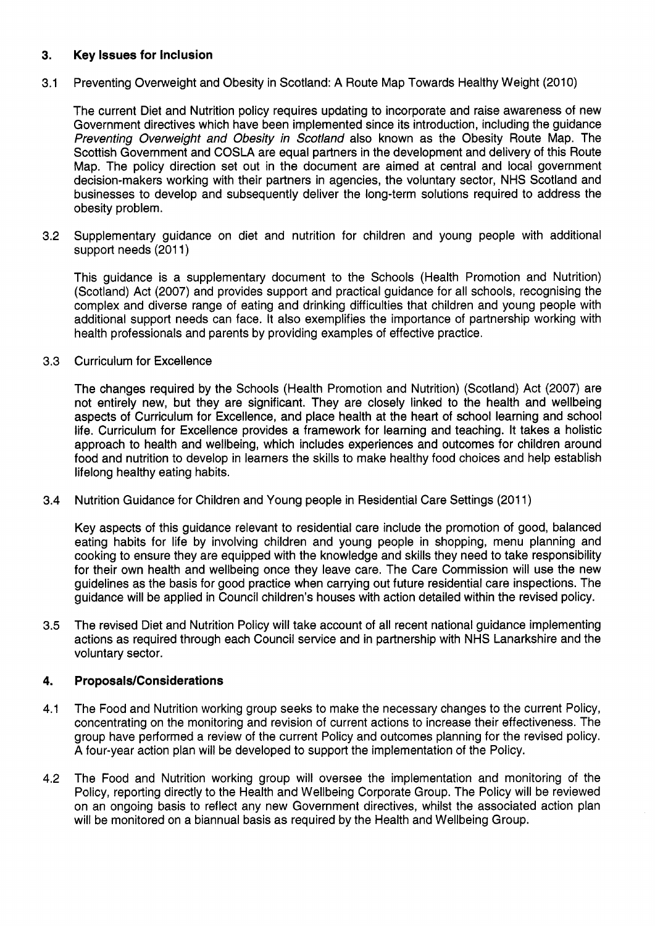## **3. Key Issues for Inclusion**

3.1 Preventing Overweight and Obesity in Scotland: A Route Map Towards Healthy Weight (2010)

The current Diet and Nutrition policy requires updating to incorporate and raise awareness of new Government directives which have been implemented since its introduction, including the guidance *Preventing Overweight and Obesity in Scotland* also known as the Obesity Route Map. The Scottish Government and COSLA are equal partners in the development and delivery of this Route Map. The policy direction set out in the document are aimed at central and local government decision-makers working with their partners in agencies, the voluntary sector, NHS Scotland and businesses to develop and subsequently deliver the long-term solutions required to address the obesity problem.

3.2 Supplementary guidance on diet and nutrition for children and young people with additional support needs (2011)

This guidance is a supplementary document to the Schools (Health Promotion and Nutrition) (Scotland) Act (2007) and provides support and practical guidance for all schools, recognising the complex and diverse range of eating and drinking difficulties that children and young people with additional support needs can face. It also exemplifies the importance of partnership working with health professionals and parents by providing examples of effective practice.

3.3 Curriculum for Excellence

> The changes required by the Schools (Health Promotion and Nutrition) (Scotland) Act (2007) are not entirely new, but they are significant. They are closely linked to the health and wellbeing aspects of Curriculum for Excellence, and place health at the heart of school learning and school life. Curriculum for Excellence provides a framework for learning and teaching. It takes a holistic approach to health and wellbeing, which includes experiences and outcomes for children around food and nutrition to develop in learners the skills to make healthy food choices and help establish lifelong healthy eating habits.

3.4 Nutrition Guidance for Children and Young people in Residential Care Settings (201 1)

Key aspects of this guidance relevant to residential care include the promotion of good, balanced eating habits for life by involving children and young people in shopping, menu planning and cooking to ensure they are equipped with the knowledge and skills they need to take responsibility for their own health and wellbeing once they leave care. The Care Commission will use the new guidelines as the basis for good practice when carrying out future residential care inspections. The guidance will be applied in Council children's houses with action detailed within the revised policy.

3.5 The revised Diet and Nutrition Policy will take account of all recent national guidance implementing actions as required through each Council service and in partnership with NHS Lanarkshire and the voluntary sector.

### **4. Proposals/Considerations**

- 4.1 The Food and Nutrition working group seeks to make the necessary changes to the current Policy, concentrating on the monitoring and revision of current actions to increase their effectiveness. The group have performed a review of the current Policy and outcomes planning for the revised policy. A four-year action plan will be developed to support the implementation of the Policy.
- 4.2 The Food and Nutrition working group will oversee the implementation and monitoring of the Policy, reporting directly to the Health and Wellbeing Corporate Group. The Policy will be reviewed on an ongoing basis to reflect any new Government directives, whilst the associated action plan will be monitored on a biannual basis as required by the Health and Wellbeing Group.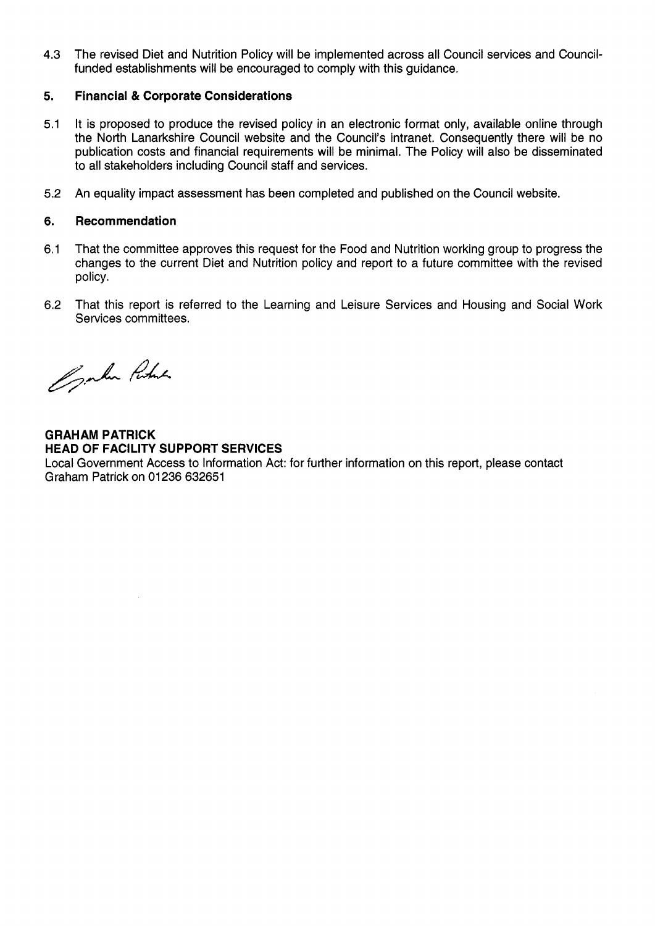4.3 The revised Diet and Nutrition Policy will be implemented across all Council services and Councilfunded establishments will be encouraged to comply with this guidance.

### **5. Financial** & **Corporate Considerations**

- 5.1 It is proposed to produce the revised policy in an electronic format only, available online through the North Lanarkshire Council website and the Council's intranet. Consequently there will be no publication costs and financial requirements will be minimal. The Policy will also be disseminated to all stakeholders including Council staff and services.
- 5.2 An equality impact assessment has been completed and published on the Council website.

### **6. Recommendation**

- 6.1 That the committee approves this request for the Food and Nutrition working group to progress the changes to the current Diet and Nutrition policy and report to a future committee with the revised policy.
- 6.2 That this report is referred to the Learning and Leisure Services and Housing and Social Work Services committees.

Openhar Portine

**GRAHAM PATRICK HEAD OF FACILITY SUPPORT SERVICES** 

Local Government Access to Information Act: for further information on this report, please contact Graham Patrick on 01236 632651